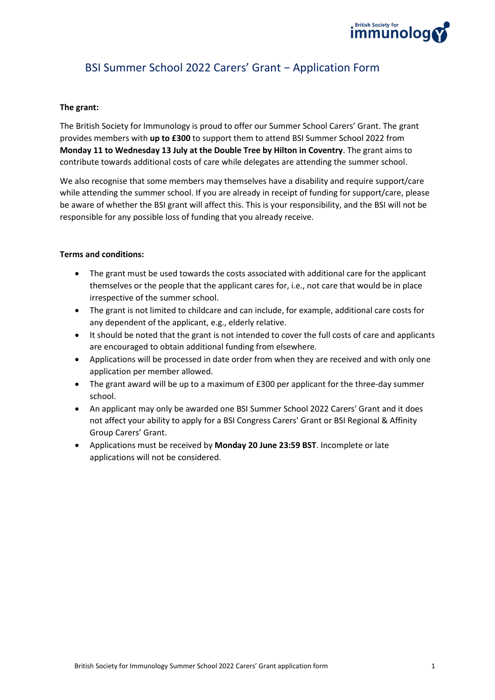

# BSI Summer School 2022 Carers' Grant − Application Form

#### **The grant:**

The British Society for Immunology is proud to offer our Summer School Carers' Grant. The grant provides members with **up to £300** to support them to attend BSI Summer School 2022 from **Monday 11 to Wednesday 13 July at the Double Tree by Hilton in Coventry**. The grant aims to contribute towards additional costs of care while delegates are attending the summer school.

We also recognise that some members may themselves have a disability and require support/care while attending the summer school. If you are already in receipt of funding for support/care, please be aware of whether the BSI grant will affect this. This is your responsibility, and the BSI will not be responsible for any possible loss of funding that you already receive.

#### **Terms and conditions:**

- The grant must be used towards the costs associated with additional care for the applicant themselves or the people that the applicant cares for, i.e., not care that would be in place irrespective of the summer school.
- The grant is not limited to childcare and can include, for example, additional care costs for any dependent of the applicant, e.g., elderly relative.
- It should be noted that the grant is not intended to cover the full costs of care and applicants are encouraged to obtain additional funding from elsewhere.
- Applications will be processed in date order from when they are received and with only one application per member allowed.
- The grant award will be up to a maximum of £300 per applicant for the three-day summer school.
- An applicant may only be awarded one BSI Summer School 2022 Carers' Grant and it does not affect your ability to apply for a BSI Congress Carers' Grant or BSI Regional & Affinity Group Carers' Grant.
- Applications must be received by **Monday 20 June 23:59 BST**. Incomplete or late applications will not be considered.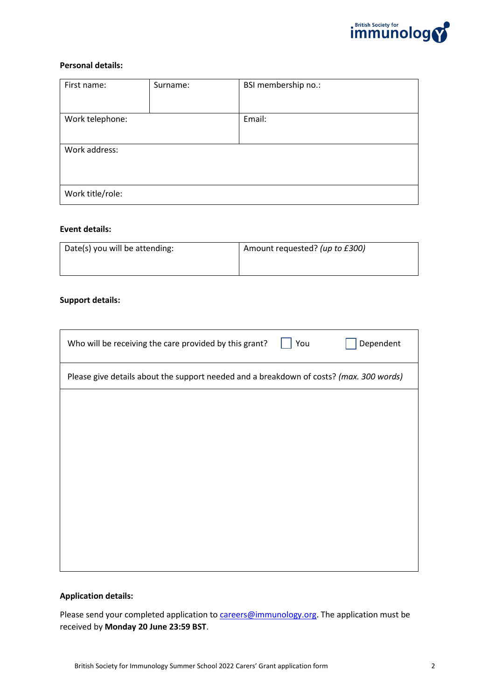

#### **Personal details:**

| First name:      | Surname: | BSI membership no.: |
|------------------|----------|---------------------|
|                  |          |                     |
| Work telephone:  |          | Email:              |
|                  |          |                     |
| Work address:    |          |                     |
|                  |          |                     |
|                  |          |                     |
| Work title/role: |          |                     |

#### **Event details:**

| Date(s) you will be attending: | Amount requested? (up to £300) |  |
|--------------------------------|--------------------------------|--|
|                                |                                |  |

#### **Support details:**

| You<br>Who will be receiving the care provided by this grant?                           | Dependent |  |  |  |
|-----------------------------------------------------------------------------------------|-----------|--|--|--|
| Please give details about the support needed and a breakdown of costs? (max. 300 words) |           |  |  |  |
|                                                                                         |           |  |  |  |
|                                                                                         |           |  |  |  |
|                                                                                         |           |  |  |  |
|                                                                                         |           |  |  |  |
|                                                                                         |           |  |  |  |
|                                                                                         |           |  |  |  |
|                                                                                         |           |  |  |  |

## **Application details:**

Please send your completed application to **careers@immunology.org**. The application must be received by **Monday 20 June 23:59 BST**.